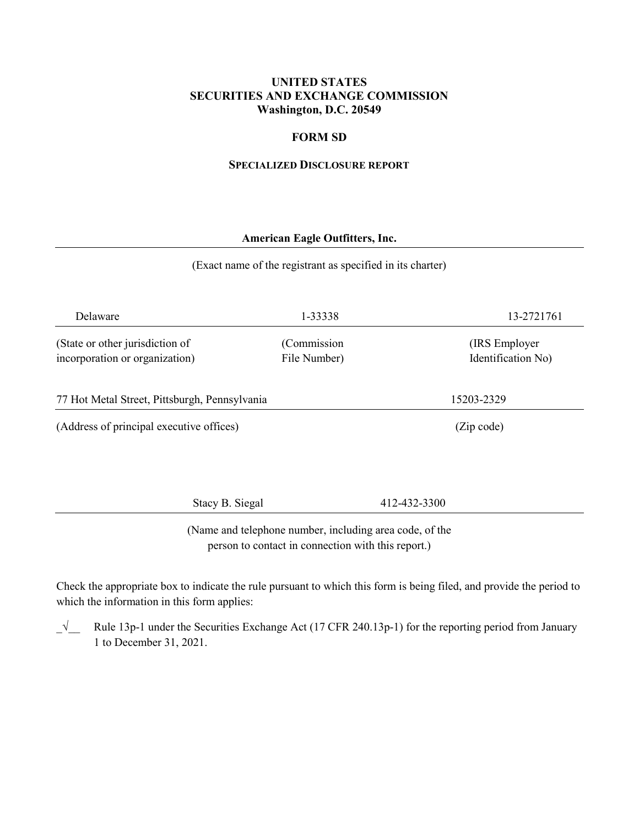### **UNITED STATES SECURITIES AND EXCHANGE COMMISSION Washington, D.C. 20549**

### **FORM SD**

#### **SPECIALIZED DISCLOSURE REPORT**

### **American Eagle Outfitters, Inc.**

#### (Exact name of the registrant as specified in its charter)

| Delaware                                                          | 1-33338                     | 13-2721761                           |  |
|-------------------------------------------------------------------|-----------------------------|--------------------------------------|--|
| (State or other jurisdiction of<br>incorporation or organization) | (Commission<br>File Number) | (IRS Employer)<br>Identification No) |  |
| 77 Hot Metal Street, Pittsburgh, Pennsylvania                     |                             | 15203-2329                           |  |
| (Address of principal executive offices)                          |                             | (Zip code)                           |  |
|                                                                   |                             |                                      |  |

Stacy B. Siegal 412-432-3300

(Name and telephone number, including area code, of the person to contact in connection with this report.)

Check the appropriate box to indicate the rule pursuant to which this form is being filed, and provide the period to which the information in this form applies:

\_√\_\_ Rule 13p-1 under the Securities Exchange Act (17 CFR 240.13p-1) for the reporting period from January 1 to December 31, 2021.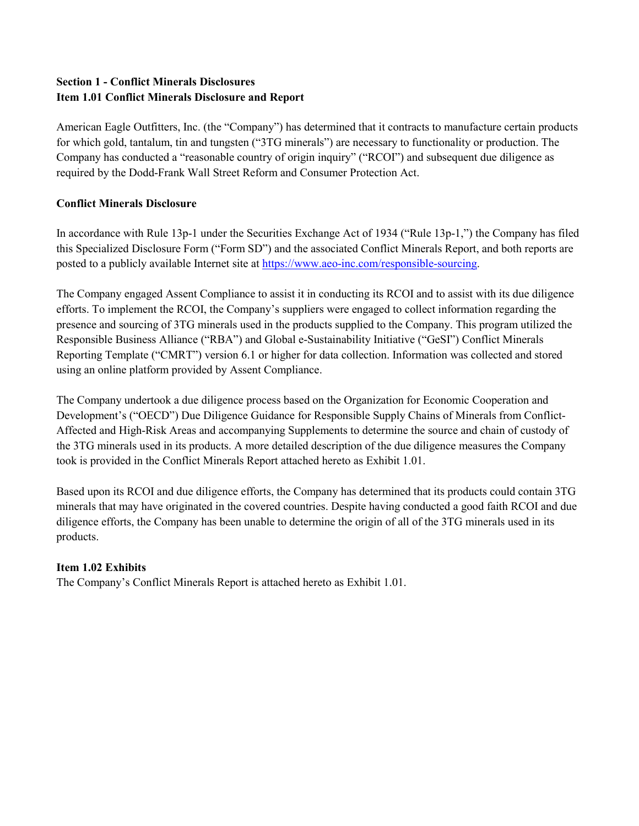# **Section 1 - Conflict Minerals Disclosures Item 1.01 Conflict Minerals Disclosure and Report**

American Eagle Outfitters, Inc. (the "Company") has determined that it contracts to manufacture certain products for which gold, tantalum, tin and tungsten ("3TG minerals") are necessary to functionality or production. The Company has conducted a "reasonable country of origin inquiry" ("RCOI") and subsequent due diligence as required by the Dodd-Frank Wall Street Reform and Consumer Protection Act.

# **Conflict Minerals Disclosure**

In accordance with Rule 13p-1 under the Securities Exchange Act of 1934 ("Rule 13p-1,") the Company has filed this Specialized Disclosure Form ("Form SD") and the associated Conflict Minerals Report, and both reports are posted to a publicly available Internet site at [https://www.aeo-inc.com/responsible-sourcing.](https://www.aeo-inc.com/responsible-sourcing)

The Company engaged Assent Compliance to assist it in conducting its RCOI and to assist with its due diligence efforts. To implement the RCOI, the Company's suppliers were engaged to collect information regarding the presence and sourcing of 3TG minerals used in the products supplied to the Company. This program utilized the Responsible Business Alliance ("RBA") and Global e-Sustainability Initiative ("GeSI") Conflict Minerals Reporting Template ("CMRT") version 6.1 or higher for data collection. Information was collected and stored using an online platform provided by Assent Compliance.

The Company undertook a due diligence process based on the Organization for Economic Cooperation and Development's ("OECD") Due Diligence Guidance for Responsible Supply Chains of Minerals from Conflict-Affected and High-Risk Areas and accompanying Supplements to determine the source and chain of custody of the 3TG minerals used in its products. A more detailed description of the due diligence measures the Company took is provided in the Conflict Minerals Report attached hereto as Exhibit 1.01.

Based upon its RCOI and due diligence efforts, the Company has determined that its products could contain 3TG minerals that may have originated in the covered countries. Despite having conducted a good faith RCOI and due diligence efforts, the Company has been unable to determine the origin of all of the 3TG minerals used in its products.

# **Item 1.02 Exhibits**

The Company's Conflict Minerals Report is attached hereto as Exhibit 1.01.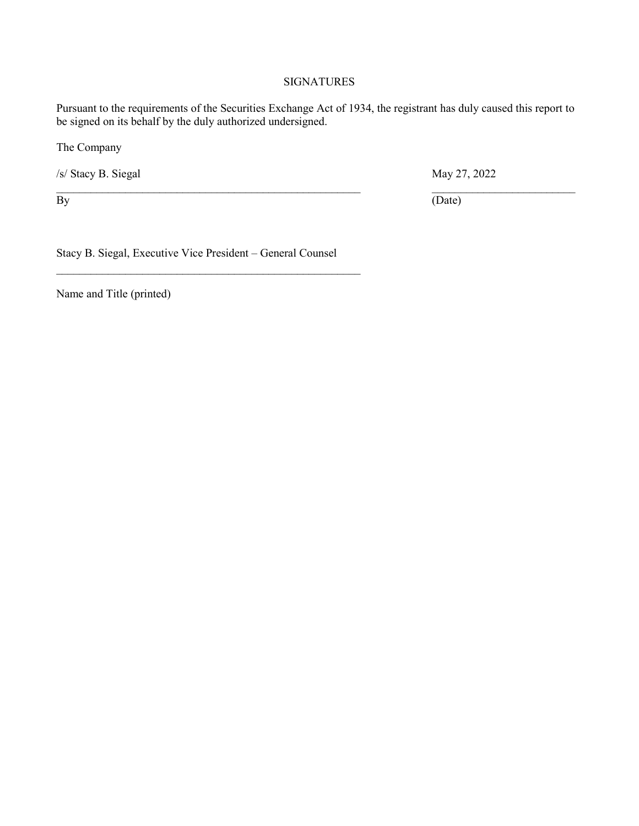### **SIGNATURES**

Pursuant to the requirements of the Securities Exchange Act of 1934, the registrant has duly caused this report to be signed on its behalf by the duly authorized undersigned.

 $\_$  , and the contribution of the contribution of  $\mathcal{L}_\mathcal{A}$  , and the contribution of  $\mathcal{L}_\mathcal{A}$  , and the contribution of  $\mathcal{L}_\mathcal{A}$ 

The Company

/s/ Stacy B. Siegal May 27, 2022

By  $(Date)$ 

Stacy B. Siegal, Executive Vice President – General Counsel

\_\_\_\_\_\_\_\_\_\_\_\_\_\_\_\_\_\_\_\_\_\_\_\_\_\_\_\_\_\_\_\_\_\_\_\_\_\_\_\_\_\_\_\_\_\_\_\_\_\_\_\_\_

Name and Title (printed)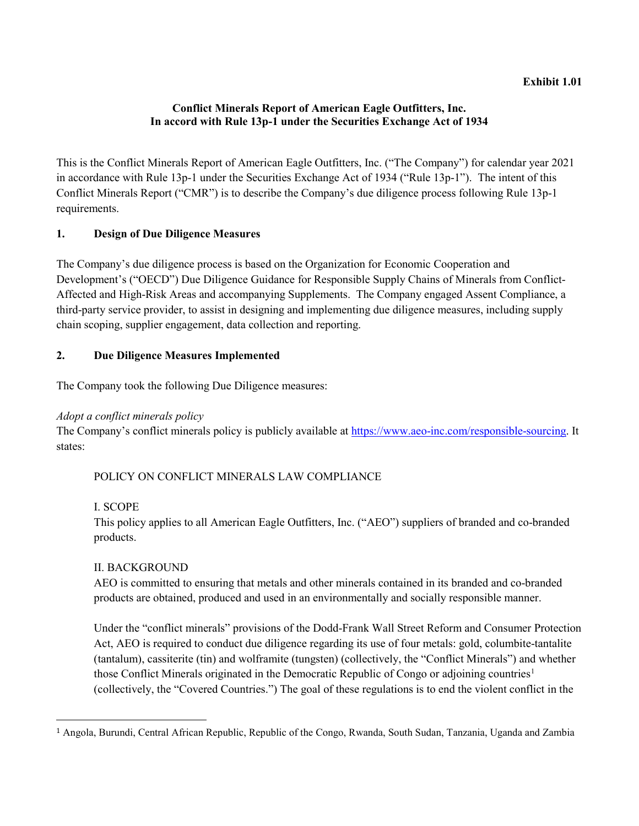#### **Exhibit 1.01**

# **Conflict Minerals Report of American Eagle Outfitters, Inc. In accord with Rule 13p-1 under the Securities Exchange Act of 1934**

This is the Conflict Minerals Report of American Eagle Outfitters, Inc. ("The Company") for calendar year 2021 in accordance with Rule 13p-1 under the Securities Exchange Act of 1934 ("Rule 13p-1"). The intent of this Conflict Minerals Report ("CMR") is to describe the Company's due diligence process following Rule 13p-1 requirements.

# **1. Design of Due Diligence Measures**

The Company's due diligence process is based on the Organization for Economic Cooperation and Development's ("OECD") Due Diligence Guidance for Responsible Supply Chains of Minerals from Conflict-Affected and High-Risk Areas and accompanying Supplements. The Company engaged Assent Compliance, a third-party service provider, to assist in designing and implementing due diligence measures, including supply chain scoping, supplier engagement, data collection and reporting.

# **2. Due Diligence Measures Implemented**

The Company took the following Due Diligence measures:

# *Adopt a conflict minerals policy*

The Company's conflict minerals policy is publicly available at [https://www.aeo-inc.com/responsible-sourcing.](https://www.aeo-inc.com/responsible-sourcing) It states:

# POLICY ON CONFLICT MINERALS LAW COMPLIANCE

# I. SCOPE

This policy applies to all American Eagle Outfitters, Inc. ("AEO") suppliers of branded and co-branded products.

# II. BACKGROUND

AEO is committed to ensuring that metals and other minerals contained in its branded and co-branded products are obtained, produced and used in an environmentally and socially responsible manner.

Under the "conflict minerals" provisions of the Dodd-Frank Wall Street Reform and Consumer Protection Act, AEO is required to conduct due diligence regarding its use of four metals: gold, columbite-tantalite (tantalum), cassiterite (tin) and wolframite (tungsten) (collectively, the "Conflict Minerals") and whether those Conflict Minerals originated in the Democratic Republic of Congo or adjoining countries<sup>[1](#page-3-0)</sup> (collectively, the "Covered Countries.") The goal of these regulations is to end the violent conflict in the

<span id="page-3-0"></span>j <sup>1</sup> Angola, Burundi, Central African Republic, Republic of the Congo, Rwanda, South Sudan, Tanzania, Uganda and Zambia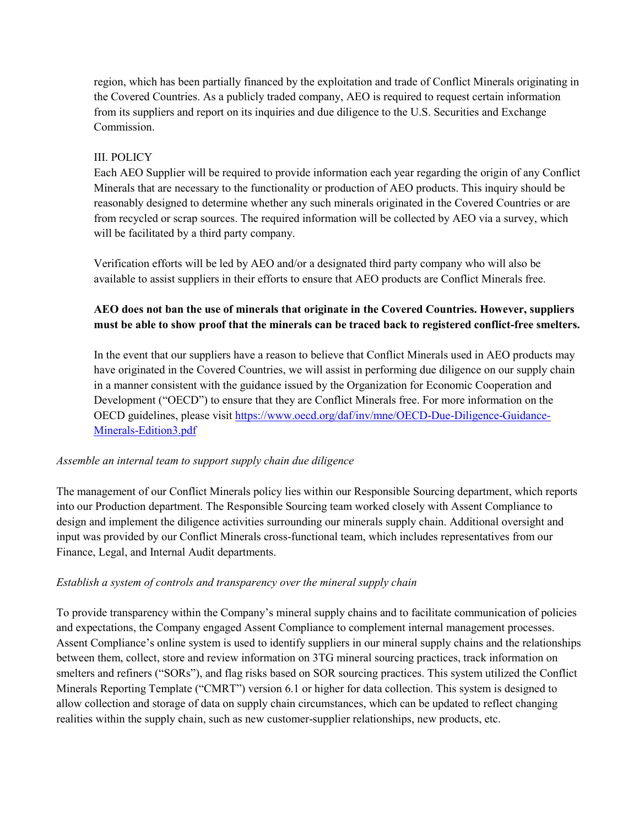region, which has been partially financed by the exploitation and trade of Conflict Minerals originating in the Covered Countries. As a publicly traded company, AEO is required to request certain information from its suppliers and report on its inquiries and due diligence to the U.S. Securities and Exchange Commission.

# III. POLICY

Each AEO Supplier will be required to provide information each year regarding the origin of any Conflict Minerals that are necessary to the functionality or production of AEO products. This inquiry should be reasonably designed to determine whether any such minerals originated in the Covered Countries or are from recycled or scrap sources. The required information will be collected by AEO via a survey, which will be facilitated by a third party company.

Verification efforts will be led by AEO and/or a designated third party company who will also be available to assist suppliers in their efforts to ensure that AEO products are Conflict Minerals free.

# **AEO does not ban the use of minerals that originate in the Covered Countries. However, suppliers must be able to show proof that the minerals can be traced back to registered conflict-free smelters.**

In the event that our suppliers have a reason to believe that Conflict Minerals used in AEO products may have originated in the Covered Countries, we will assist in performing due diligence on our supply chain in a manner consistent with the guidance issued by the Organization for Economic Cooperation and Development ("OECD") to ensure that they are Conflict Minerals free. For more information on the OECD guidelines, please visit [https://www.oecd.org/daf/inv/mne/OECD-Due-Diligence-Guidance-](https://www.oecd.org/daf/inv/mne/OECD-Due-Diligence-Guidance-Minerals-Edition3.pdf)[Minerals-Edition3.pdf](https://www.oecd.org/daf/inv/mne/OECD-Due-Diligence-Guidance-Minerals-Edition3.pdf) 

# *Assemble an internal team to support supply chain due diligence*

The management of our Conflict Minerals policy lies within our Responsible Sourcing department, which reports into our Production department. The Responsible Sourcing team worked closely with Assent Compliance to design and implement the diligence activities surrounding our minerals supply chain. Additional oversight and input was provided by our Conflict Minerals cross-functional team, which includes representatives from our Finance, Legal, and Internal Audit departments.

# *Establish a system of controls and transparency over the mineral supply chain*

To provide transparency within the Company's mineral supply chains and to facilitate communication of policies and expectations, the Company engaged Assent Compliance to complement internal management processes. Assent Compliance's online system is used to identify suppliers in our mineral supply chains and the relationships between them, collect, store and review information on 3TG mineral sourcing practices, track information on smelters and refiners ("SORs"), and flag risks based on SOR sourcing practices. This system utilized the Conflict Minerals Reporting Template ("CMRT") version 6.1 or higher for data collection. This system is designed to allow collection and storage of data on supply chain circumstances, which can be updated to reflect changing realities within the supply chain, such as new customer-supplier relationships, new products, etc.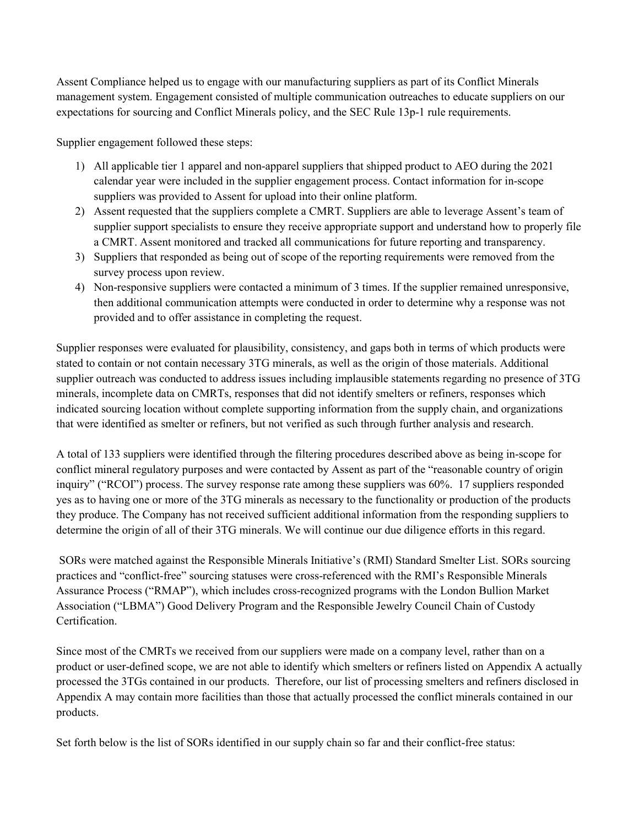Assent Compliance helped us to engage with our manufacturing suppliers as part of its Conflict Minerals management system. Engagement consisted of multiple communication outreaches to educate suppliers on our expectations for sourcing and Conflict Minerals policy, and the SEC Rule 13p-1 rule requirements.

Supplier engagement followed these steps:

- 1) All applicable tier 1 apparel and non-apparel suppliers that shipped product to AEO during the 2021 calendar year were included in the supplier engagement process. Contact information for in-scope suppliers was provided to Assent for upload into their online platform.
- 2) Assent requested that the suppliers complete a CMRT. Suppliers are able to leverage Assent's team of supplier support specialists to ensure they receive appropriate support and understand how to properly file a CMRT. Assent monitored and tracked all communications for future reporting and transparency.
- 3) Suppliers that responded as being out of scope of the reporting requirements were removed from the survey process upon review.
- 4) Non-responsive suppliers were contacted a minimum of 3 times. If the supplier remained unresponsive, then additional communication attempts were conducted in order to determine why a response was not provided and to offer assistance in completing the request.

Supplier responses were evaluated for plausibility, consistency, and gaps both in terms of which products were stated to contain or not contain necessary 3TG minerals, as well as the origin of those materials. Additional supplier outreach was conducted to address issues including implausible statements regarding no presence of 3TG minerals, incomplete data on CMRTs, responses that did not identify smelters or refiners, responses which indicated sourcing location without complete supporting information from the supply chain, and organizations that were identified as smelter or refiners, but not verified as such through further analysis and research.

A total of 133 suppliers were identified through the filtering procedures described above as being in-scope for conflict mineral regulatory purposes and were contacted by Assent as part of the "reasonable country of origin inquiry" ("RCOI") process. The survey response rate among these suppliers was 60%. 17 suppliers responded yes as to having one or more of the 3TG minerals as necessary to the functionality or production of the products they produce. The Company has not received sufficient additional information from the responding suppliers to determine the origin of all of their 3TG minerals. We will continue our due diligence efforts in this regard.

SORs were matched against the Responsible Minerals Initiative's (RMI) Standard Smelter List. SORs sourcing practices and "conflict-free" sourcing statuses were cross-referenced with the RMI's Responsible Minerals Assurance Process ("RMAP"), which includes cross-recognized programs with the London Bullion Market Association ("LBMA") Good Delivery Program and the Responsible Jewelry Council Chain of Custody Certification.

Since most of the CMRTs we received from our suppliers were made on a company level, rather than on a product or user-defined scope, we are not able to identify which smelters or refiners listed on Appendix A actually processed the 3TGs contained in our products. Therefore, our list of processing smelters and refiners disclosed in Appendix A may contain more facilities than those that actually processed the conflict minerals contained in our products.

Set forth below is the list of SORs identified in our supply chain so far and their conflict-free status: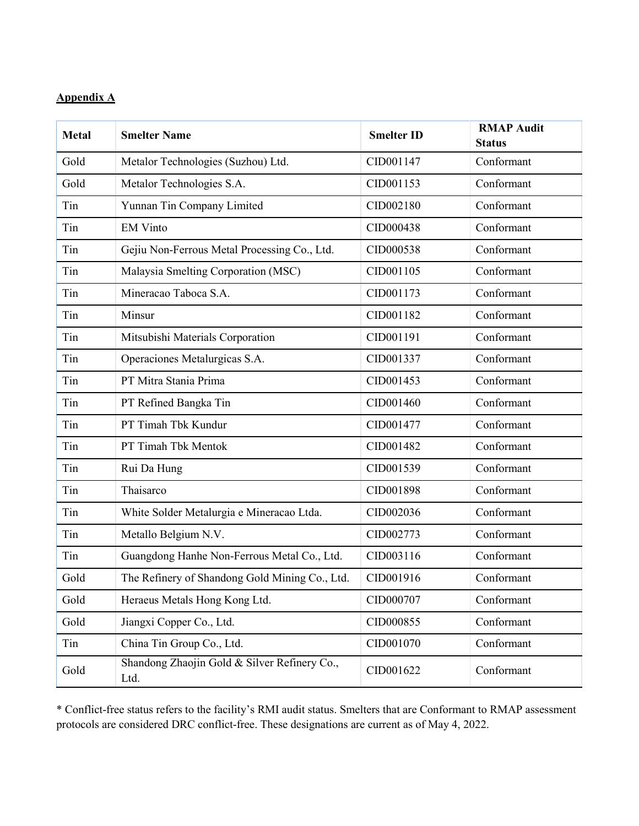# **Appendix A**

| <b>Metal</b> | <b>Smelter Name</b>                                  | <b>Smelter ID</b> | <b>RMAP Audit</b><br><b>Status</b> |
|--------------|------------------------------------------------------|-------------------|------------------------------------|
| Gold         | Metalor Technologies (Suzhou) Ltd.                   | CID001147         | Conformant                         |
| Gold         | Metalor Technologies S.A.                            | CID001153         | Conformant                         |
| Tin          | Yunnan Tin Company Limited                           | CID002180         | Conformant                         |
| Tin          | <b>EM Vinto</b>                                      | CID000438         | Conformant                         |
| Tin          | Gejiu Non-Ferrous Metal Processing Co., Ltd.         | CID000538         | Conformant                         |
| Tin          | Malaysia Smelting Corporation (MSC)                  | CID001105         | Conformant                         |
| Tin          | Mineracao Taboca S.A.                                | CID001173         | Conformant                         |
| Tin          | Minsur                                               | CID001182         | Conformant                         |
| Tin          | Mitsubishi Materials Corporation                     | CID001191         | Conformant                         |
| Tin          | Operaciones Metalurgicas S.A.                        | CID001337         | Conformant                         |
| Tin          | PT Mitra Stania Prima                                | CID001453         | Conformant                         |
| Tin          | PT Refined Bangka Tin                                | CID001460         | Conformant                         |
| Tin          | PT Timah Tbk Kundur                                  | CID001477         | Conformant                         |
| Tin          | PT Timah Tbk Mentok                                  | CID001482         | Conformant                         |
| Tin          | Rui Da Hung                                          | CID001539         | Conformant                         |
| Tin          | Thaisarco                                            | CID001898         | Conformant                         |
| Tin          | White Solder Metalurgia e Mineracao Ltda.            | CID002036         | Conformant                         |
| Tin          | Metallo Belgium N.V.                                 | CID002773         | Conformant                         |
| Tin          | Guangdong Hanhe Non-Ferrous Metal Co., Ltd.          | CID003116         | Conformant                         |
| Gold         | The Refinery of Shandong Gold Mining Co., Ltd.       | CID001916         | Conformant                         |
| Gold         | Heraeus Metals Hong Kong Ltd.                        | CID000707         | Conformant                         |
| Gold         | Jiangxi Copper Co., Ltd.                             | CID000855         | Conformant                         |
| Tin          | China Tin Group Co., Ltd.                            | CID001070         | Conformant                         |
| Gold         | Shandong Zhaojin Gold & Silver Refinery Co.,<br>Ltd. | CID001622         | Conformant                         |

\* Conflict-free status refers to the facility's RMI audit status. Smelters that are Conformant to RMAP assessment protocols are considered DRC conflict-free. These designations are current as of May 4, 2022.